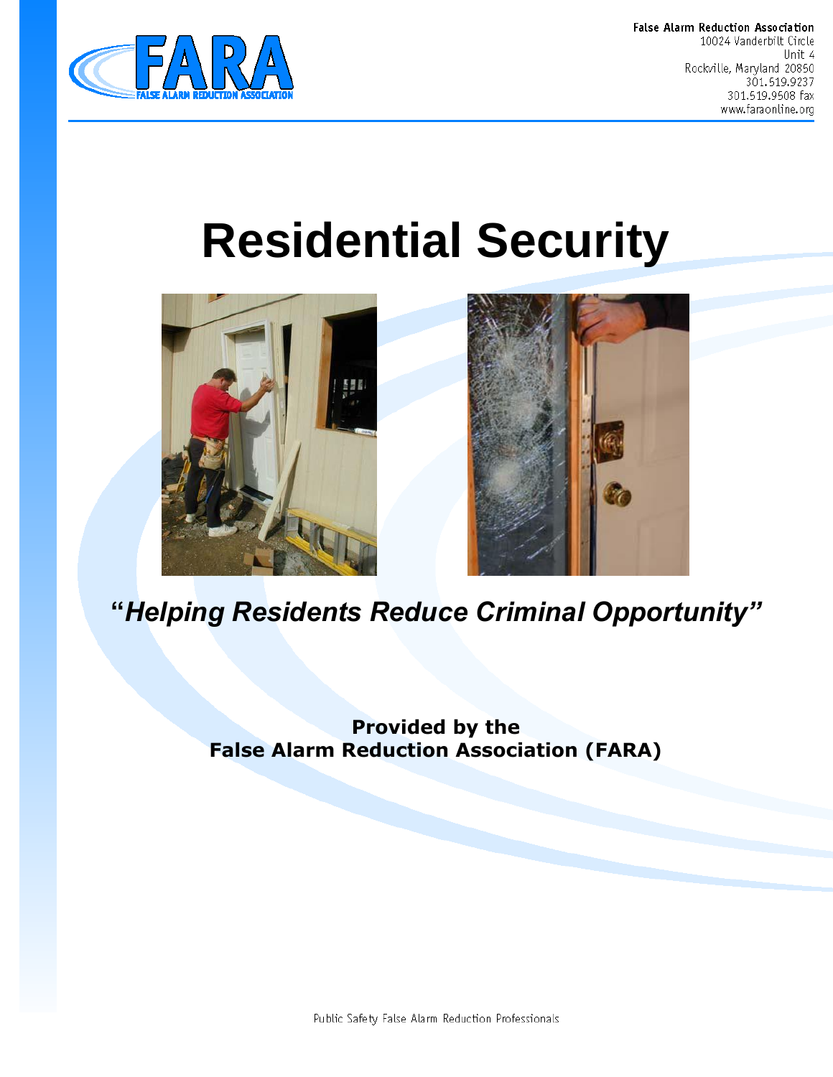

False Alarm Reduction Association 10024 Vanderbilt Circle Unit 4 Rockville, Maryland 20850 301.519.9237 301.519.9508 fax www.faraonline.org

# **Residential Security**





## **"***Helping Residents Reduce Criminal Opportunity"*

**Provided by the False Alarm Reduction Association (FARA)**

Public Safety False Alarm Reduction Professionals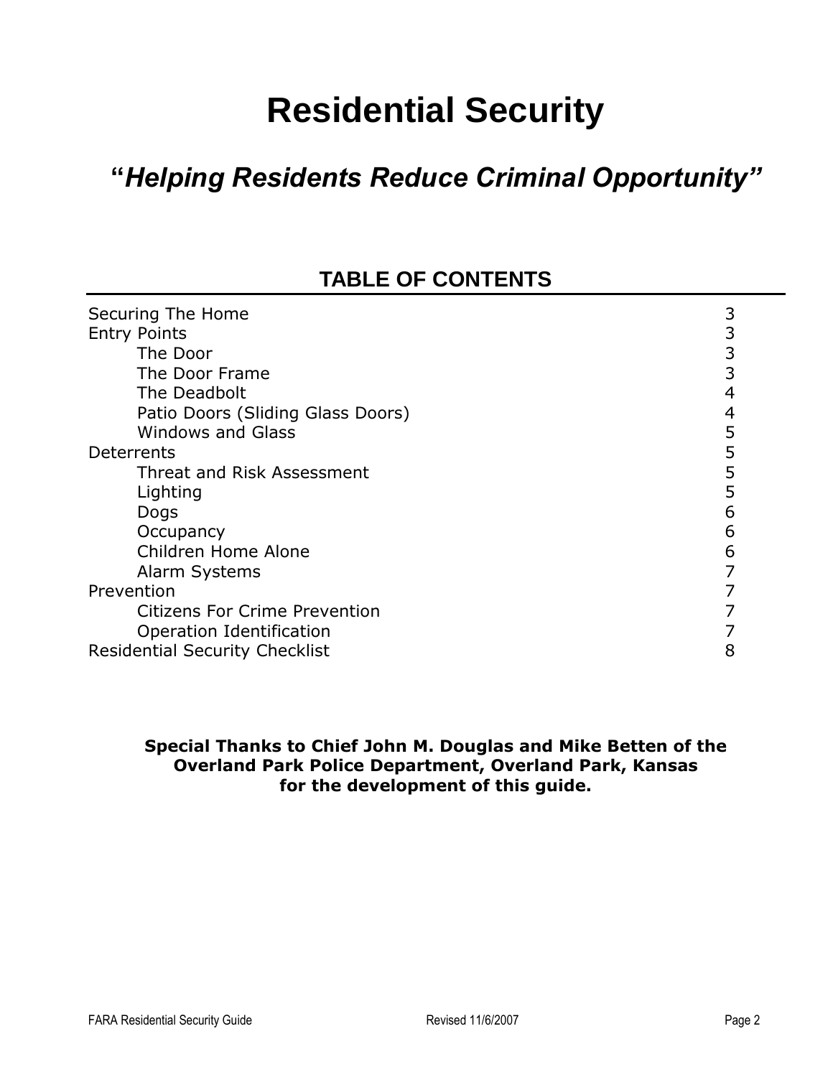## **Residential Security**

## **"***Helping Residents Reduce Criminal Opportunity"*

## **TABLE OF CONTENTS**

| Securing The Home                     |   |
|---------------------------------------|---|
| <b>Entry Points</b>                   | 3 |
| The Door                              | 3 |
| The Door Frame                        | 3 |
| The Deadbolt                          | 4 |
| Patio Doors (Sliding Glass Doors)     | 4 |
| <b>Windows and Glass</b>              | 5 |
| Deterrents                            | 5 |
| Threat and Risk Assessment            | 5 |
| Lighting                              | 5 |
| Dogs                                  | 6 |
| Occupancy                             | 6 |
| Children Home Alone                   | 6 |
| Alarm Systems                         |   |
| Prevention                            |   |
| <b>Citizens For Crime Prevention</b>  |   |
| Operation Identification              |   |
| <b>Residential Security Checklist</b> | 8 |

#### **Special Thanks to Chief John M. Douglas and Mike Betten of the Overland Park Police Department, Overland Park, Kansas for the development of this guide.**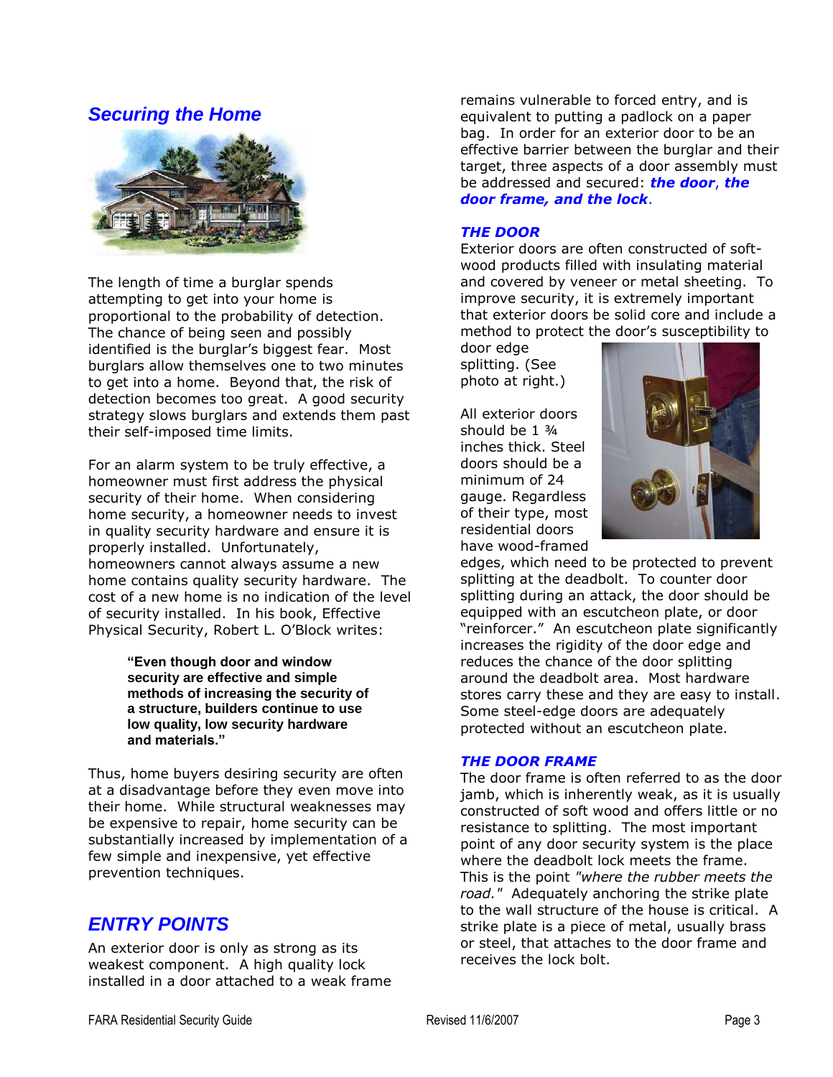#### *Securing the Home*



The length of time a burglar spends attempting to get into your home is proportional to the probability of detection. The chance of being seen and possibly identified is the burglar's biggest fear. Most burglars allow themselves one to two minutes to get into a home. Beyond that, the risk of detection becomes too great. A good security strategy slows burglars and extends them past their self-imposed time limits.

For an alarm system to be truly effective, a homeowner must first address the physical security of their home. When considering home security, a homeowner needs to invest in quality security hardware and ensure it is properly installed. Unfortunately, homeowners cannot always assume a new home contains quality security hardware. The cost of a new home is no indication of the level of security installed. In his book, Effective Physical Security, Robert L. O'Block writes:

> **"Even though door and window security are effective and simple methods of increasing the security of a structure, builders continue to use low quality, low security hardware and materials."**

Thus, home buyers desiring security are often at a disadvantage before they even move into their home. While structural weaknesses may be expensive to repair, home security can be substantially increased by implementation of a few simple and inexpensive, yet effective prevention techniques.

#### *ENTRY POINTS*

An exterior door is only as strong as its weakest component. A high quality lock installed in a door attached to a weak frame remains vulnerable to forced entry, and is equivalent to putting a padlock on a paper bag. In order for an exterior door to be an effective barrier between the burglar and their target, three aspects of a door assembly must be addressed and secured: *the door*, *the door frame, and the lock*.

#### *THE DOOR*

Exterior doors are often constructed of softwood products filled with insulating material and covered by veneer or metal sheeting. To improve security, it is extremely important that exterior doors be solid core and include a method to protect the door's susceptibility to

door edge splitting. (See photo at right.)

All exterior doors should be 1 ¾ inches thick. Steel doors should be a minimum of 24 gauge. Regardless of their type, most residential doors have wood-framed



edges, which need to be protected to prevent splitting at the deadbolt. To counter door splitting during an attack, the door should be equipped with an escutcheon plate, or door "reinforcer." An escutcheon plate significantly increases the rigidity of the door edge and reduces the chance of the door splitting around the deadbolt area. Most hardware stores carry these and they are easy to install. Some steel-edge doors are adequately protected without an escutcheon plate.

#### *THE DOOR FRAME*

The door frame is often referred to as the door jamb, which is inherently weak, as it is usually constructed of soft wood and offers little or no resistance to splitting. The most important point of any door security system is the place where the deadbolt lock meets the frame. This is the point *"where the rubber meets the road."* Adequately anchoring the strike plate to the wall structure of the house is critical. A strike plate is a piece of metal, usually brass or steel, that attaches to the door frame and receives the lock bolt.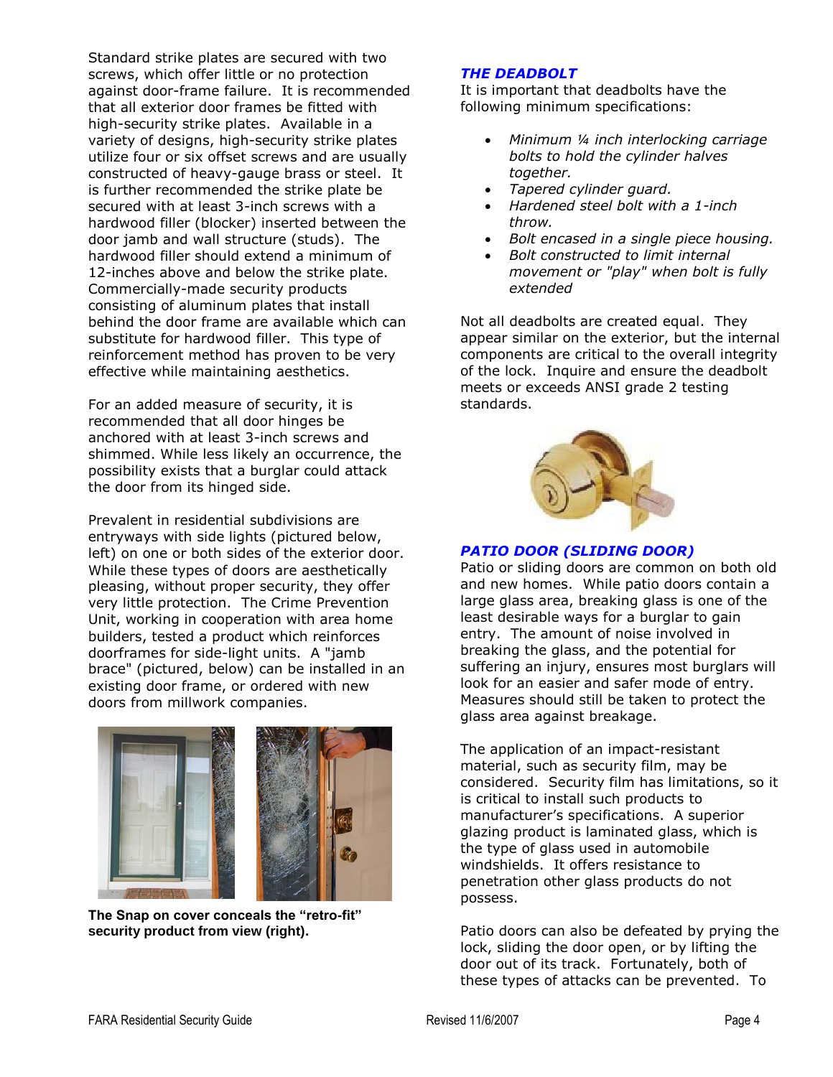Standard strike plates are secured with two screws, which offer little or no protection against door-frame failure. It is recommended that all exterior door frames be fitted with high-security strike plates. Available in a variety of designs, high-security strike plates utilize four or six offset screws and are usually constructed of heavy-gauge brass or steel. It is further recommended the strike plate be secured with at least 3-inch screws with a hardwood filler (blocker) inserted between the door jamb and wall structure (studs). The hardwood filler should extend a minimum of 12-inches above and below the strike plate. Commercially-made security products consisting of aluminum plates that install behind the door frame are available which can substitute for hardwood filler. This type of reinforcement method has proven to be very effective while maintaining aesthetics.

For an added measure of security, it is recommended that all door hinges be anchored with at least 3-inch screws and shimmed. While less likely an occurrence, the possibility exists that a burglar could attack the door from its hinged side.

Prevalent in residential subdivisions are entryways with side lights (pictured below, left) on one or both sides of the exterior door. While these types of doors are aesthetically pleasing, without proper security, they offer very little protection. The Crime Prevention Unit, working in cooperation with area home builders, tested a product which reinforces doorframes for side-light units. A "jamb brace" (pictured, below) can be installed in an existing door frame, or ordered with new doors from millwork companies.



**The Snap on cover conceals the "retro-fit" security product from view (right).**

#### *THE DEADBOLT*

It is important that deadbolts have the following minimum specifications:

- *Minimum ¼ inch interlocking carriage bolts to hold the cylinder halves together.*
- *Tapered cylinder guard.*
- *Hardened steel bolt with a 1-inch throw.*
- *Bolt encased in a single piece housing.*
- *Bolt constructed to limit internal movement or "play" when bolt is fully extended*

Not all deadbolts are created equal. They appear similar on the exterior, but the internal components are critical to the overall integrity of the lock. Inquire and ensure the deadbolt meets or exceeds ANSI grade 2 testing standards.



#### *PATIO DOOR (SLIDING DOOR)*

Patio or sliding doors are common on both old and new homes. While patio doors contain a large glass area, breaking glass is one of the least desirable ways for a burglar to gain entry. The amount of noise involved in breaking the glass, and the potential for suffering an injury, ensures most burglars will look for an easier and safer mode of entry. Measures should still be taken to protect the glass area against breakage.

The application of an impact-resistant material, such as security film, may be considered. Security film has limitations, so it is critical to install such products to manufacturer's specifications. A superior glazing product is laminated glass, which is the type of glass used in automobile windshields. It offers resistance to penetration other glass products do not possess.

Patio doors can also be defeated by prying the lock, sliding the door open, or by lifting the door out of its track. Fortunately, both of these types of attacks can be prevented. To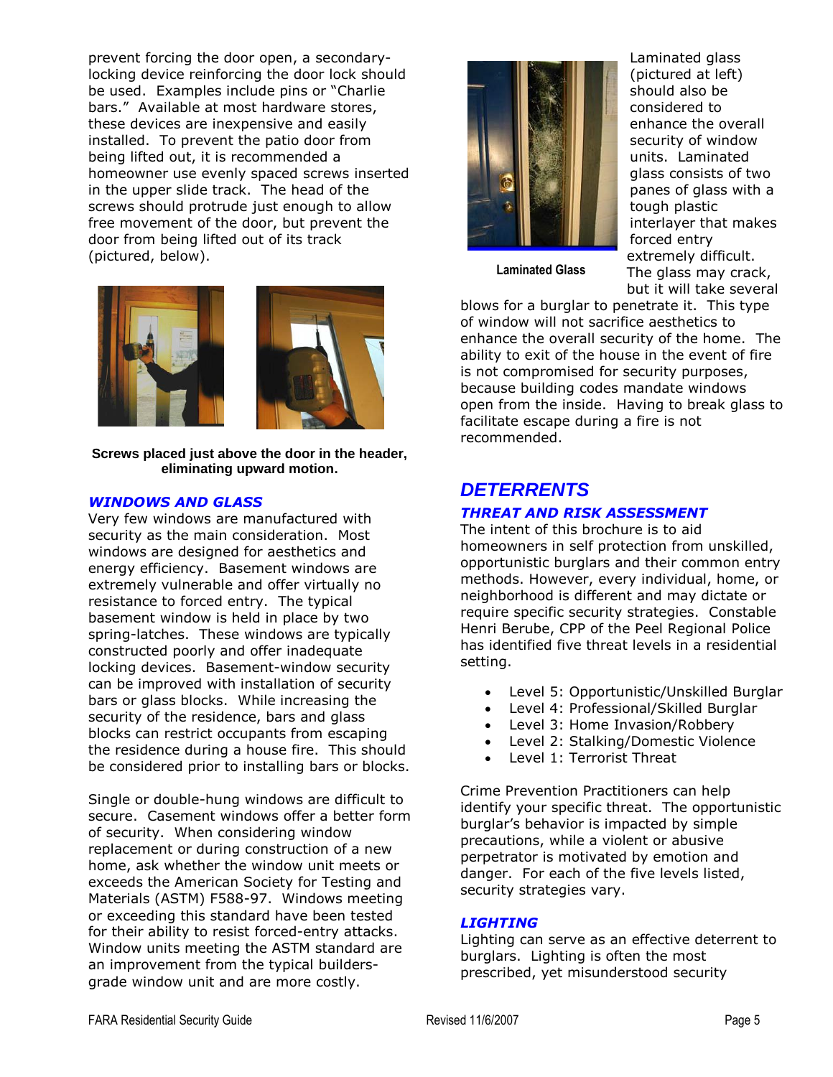prevent forcing the door open, a secondarylocking device reinforcing the door lock should be used. Examples include pins or "Charlie bars." Available at most hardware stores, these devices are inexpensive and easily installed. To prevent the patio door from being lifted out, it is recommended a homeowner use evenly spaced screws inserted in the upper slide track. The head of the screws should protrude just enough to allow free movement of the door, but prevent the door from being lifted out of its track (pictured, below).



**Screws placed just above the door in the header, eliminating upward motion.**

#### *WINDOWS AND GLASS*

Very few windows are manufactured with security as the main consideration. Most windows are designed for aesthetics and energy efficiency. Basement windows are extremely vulnerable and offer virtually no resistance to forced entry. The typical basement window is held in place by two spring-latches. These windows are typically constructed poorly and offer inadequate locking devices. Basement-window security can be improved with installation of security bars or glass blocks. While increasing the security of the residence, bars and glass blocks can restrict occupants from escaping the residence during a house fire. This should be considered prior to installing bars or blocks.

Single or double-hung windows are difficult to secure. Casement windows offer a better form of security. When considering window replacement or during construction of a new home, ask whether the window unit meets or exceeds the American Society for Testing and Materials (ASTM) F588-97. Windows meeting or exceeding this standard have been tested for their ability to resist forced-entry attacks. Window units meeting the ASTM standard are an improvement from the typical buildersgrade window unit and are more costly.



Laminated glass (pictured at left) should also be considered to enhance the overall security of window units. Laminated glass consists of two panes of glass with a tough plastic interlayer that makes forced entry extremely difficult. The glass may crack, but it will take several

**Laminated Glass**

blows for a burglar to penetrate it. This type of window will not sacrifice aesthetics to enhance the overall security of the home. The ability to exit of the house in the event of fire is not compromised for security purposes, because building codes mandate windows open from the inside. Having to break glass to facilitate escape during a fire is not recommended.

#### *DETERRENTS*

#### *THREAT AND RISK ASSESSMENT*

The intent of this brochure is to aid homeowners in self protection from unskilled, opportunistic burglars and their common entry methods. However, every individual, home, or neighborhood is different and may dictate or require specific security strategies. Constable Henri Berube, CPP of the Peel Regional Police has identified five threat levels in a residential setting.

- Level 5: Opportunistic/Unskilled Burglar
- Level 4: Professional/Skilled Burglar
- Level 3: Home Invasion/Robbery
- Level 2: Stalking/Domestic Violence
- Level 1: Terrorist Threat

Crime Prevention Practitioners can help identify your specific threat. The opportunistic burglar's behavior is impacted by simple precautions, while a violent or abusive perpetrator is motivated by emotion and danger. For each of the five levels listed, security strategies vary.

#### *LIGHTING*

Lighting can serve as an effective deterrent to burglars. Lighting is often the most prescribed, yet misunderstood security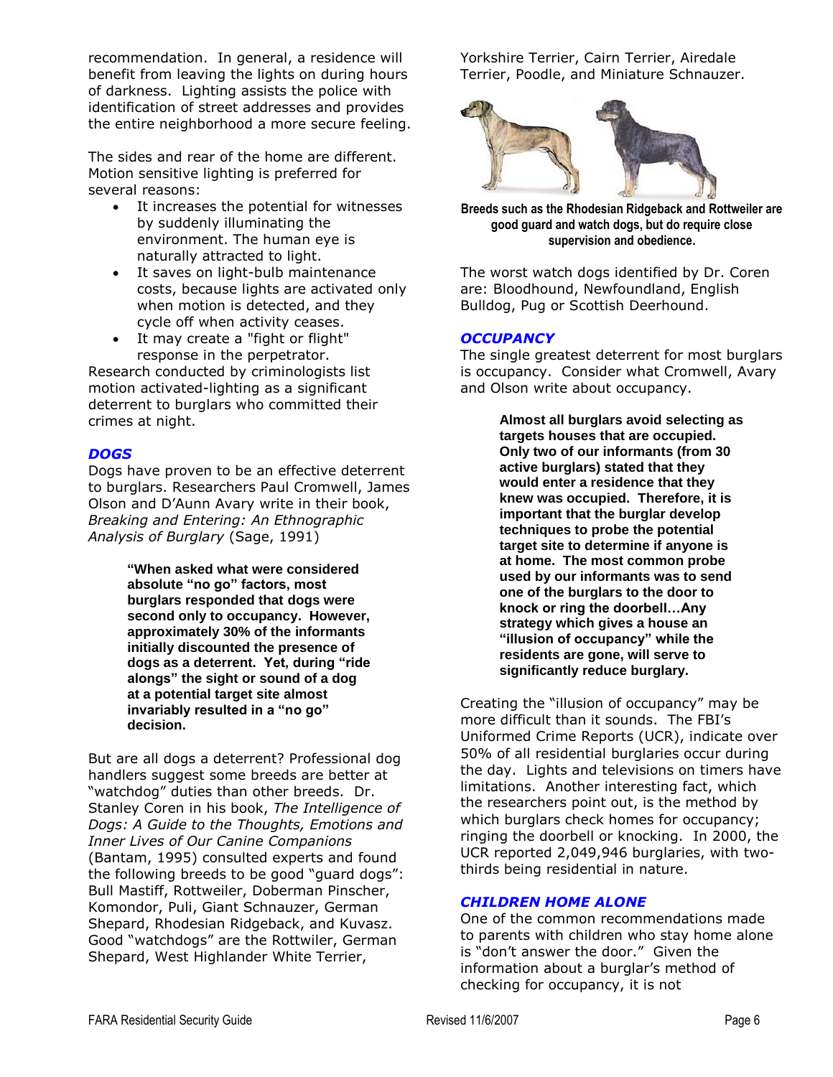recommendation. In general, a residence will benefit from leaving the lights on during hours of darkness. Lighting assists the police with identification of street addresses and provides the entire neighborhood a more secure feeling.

The sides and rear of the home are different. Motion sensitive lighting is preferred for several reasons:

- It increases the potential for witnesses by suddenly illuminating the environment. The human eye is naturally attracted to light.
- It saves on light-bulb maintenance costs, because lights are activated only when motion is detected, and they cycle off when activity ceases.
- It may create a "fight or flight" response in the perpetrator.

Research conducted by criminologists list motion activated-lighting as a significant deterrent to burglars who committed their crimes at night.

#### *DOGS*

Dogs have proven to be an effective deterrent to burglars. Researchers Paul Cromwell, James Olson and D'Aunn Avary write in their book, *Breaking and Entering: An Ethnographic Analysis of Burglary* (Sage, 1991)

> **"When asked what were considered absolute "no go" factors, most burglars responded that dogs were second only to occupancy. However, approximately 30% of the informants initially discounted the presence of dogs as a deterrent. Yet, during "ride alongs" the sight or sound of a dog at a potential target site almost invariably resulted in a "no go" decision.**

But are all dogs a deterrent? Professional dog handlers suggest some breeds are better at "watchdog" duties than other breeds. Dr. Stanley Coren in his book, *The Intelligence of Dogs: A Guide to the Thoughts, Emotions and Inner Lives of Our Canine Companions* (Bantam, 1995) consulted experts and found the following breeds to be good "guard dogs": Bull Mastiff, Rottweiler, Doberman Pinscher, Komondor, Puli, Giant Schnauzer, German Shepard, Rhodesian Ridgeback, and Kuvasz. Good "watchdogs" are the Rottwiler, German Shepard, West Highlander White Terrier,

Yorkshire Terrier, Cairn Terrier, Airedale Terrier, Poodle, and Miniature Schnauzer.



**Breeds such as the Rhodesian Ridgeback and Rottweiler are good guard and watch dogs, but do require close supervision and obedience.**

The worst watch dogs identified by Dr. Coren are: Bloodhound, Newfoundland, English Bulldog, Pug or Scottish Deerhound.

#### *OCCUPANCY*

The single greatest deterrent for most burglars is occupancy. Consider what Cromwell, Avary and Olson write about occupancy.

> **Almost all burglars avoid selecting as targets houses that are occupied. Only two of our informants (from 30 active burglars) stated that they would enter a residence that they knew was occupied. Therefore, it is important that the burglar develop techniques to probe the potential target site to determine if anyone is at home. The most common probe used by our informants was to send one of the burglars to the door to knock or ring the doorbell…Any strategy which gives a house an "illusion of occupancy" while the residents are gone, will serve to significantly reduce burglary.**

Creating the "illusion of occupancy" may be more difficult than it sounds. The FBI's Uniformed Crime Reports (UCR), indicate over 50% of all residential burglaries occur during the day. Lights and televisions on timers have limitations. Another interesting fact, which the researchers point out, is the method by which burglars check homes for occupancy; ringing the doorbell or knocking. In 2000, the UCR reported 2,049,946 burglaries, with twothirds being residential in nature.

#### *CHILDREN HOME ALONE*

One of the common recommendations made to parents with children who stay home alone is "don't answer the door." Given the information about a burglar's method of checking for occupancy, it is not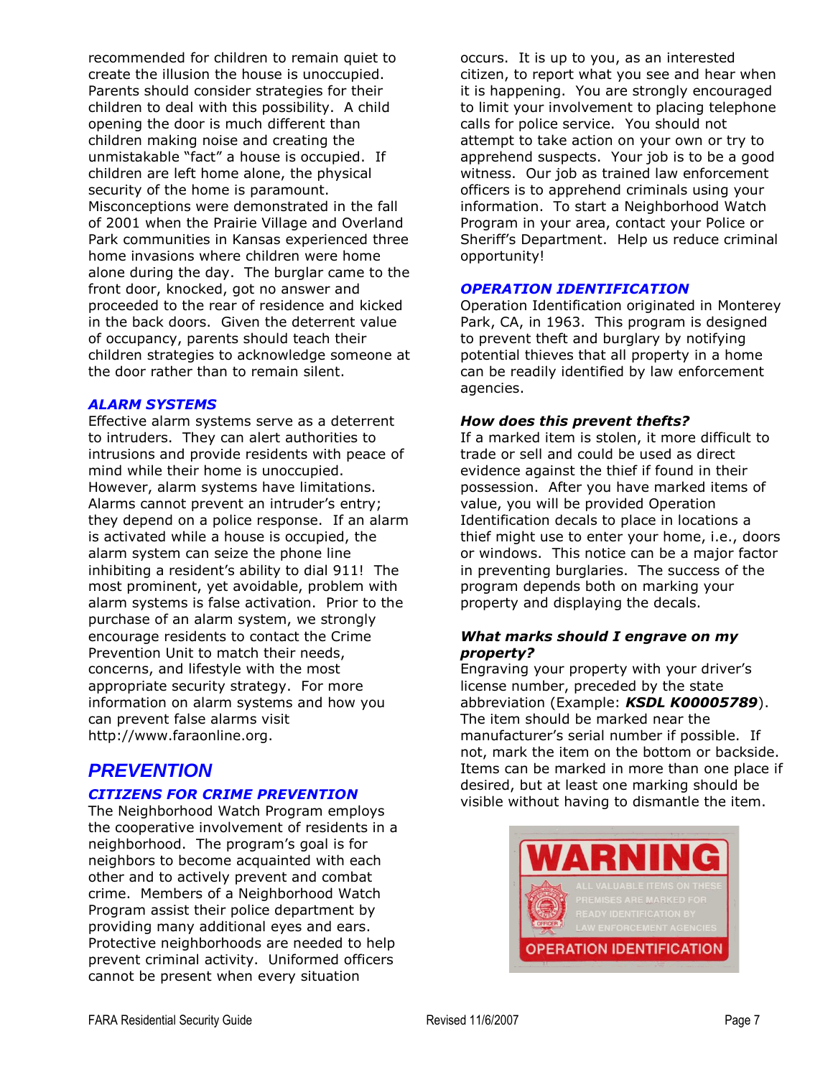recommended for children to remain quiet to create the illusion the house is unoccupied. Parents should consider strategies for their children to deal with this possibility. A child opening the door is much different than children making noise and creating the unmistakable "fact" a house is occupied. If children are left home alone, the physical security of the home is paramount. Misconceptions were demonstrated in the fall of 2001 when the Prairie Village and Overland Park communities in Kansas experienced three home invasions where children were home alone during the day. The burglar came to the front door, knocked, got no answer and proceeded to the rear of residence and kicked in the back doors. Given the deterrent value of occupancy, parents should teach their children strategies to acknowledge someone at the door rather than to remain silent.

#### *ALARM SYSTEMS*

Effective alarm systems serve as a deterrent to intruders. They can alert authorities to intrusions and provide residents with peace of mind while their home is unoccupied. However, alarm systems have limitations. Alarms cannot prevent an intruder's entry; they depend on a police response. If an alarm is activated while a house is occupied, the alarm system can seize the phone line inhibiting a resident's ability to dial 911! The most prominent, yet avoidable, problem with alarm systems is false activation. Prior to the purchase of an alarm system, we strongly encourage residents to contact the Crime Prevention Unit to match their needs, concerns, and lifestyle with the most appropriate security strategy. For more information on alarm systems and how you can prevent false alarms visit http://www.faraonline.org.

#### *PREVENTION*

#### *CITIZENS FOR CRIME PREVENTION*

The Neighborhood Watch Program employs the cooperative involvement of residents in a neighborhood. The program's goal is for neighbors to become acquainted with each other and to actively prevent and combat crime. Members of a Neighborhood Watch Program assist their police department by providing many additional eyes and ears. Protective neighborhoods are needed to help prevent criminal activity. Uniformed officers cannot be present when every situation

occurs. It is up to you, as an interested citizen, to report what you see and hear when it is happening. You are strongly encouraged to limit your involvement to placing telephone calls for police service. You should not attempt to take action on your own or try to apprehend suspects. Your job is to be a good witness. Our job as trained law enforcement officers is to apprehend criminals using your information. To start a Neighborhood Watch Program in your area, contact your Police or Sheriff's Department. Help us reduce criminal opportunity!

#### *OPERATION IDENTIFICATION*

Operation Identification originated in Monterey Park, CA, in 1963. This program is designed to prevent theft and burglary by notifying potential thieves that all property in a home can be readily identified by law enforcement agencies.

#### *How does this prevent thefts?*

If a marked item is stolen, it more difficult to trade or sell and could be used as direct evidence against the thief if found in their possession. After you have marked items of value, you will be provided Operation Identification decals to place in locations a thief might use to enter your home, i.e., doors or windows. This notice can be a major factor in preventing burglaries. The success of the program depends both on marking your property and displaying the decals.

#### *What marks should I engrave on my property?*

Engraving your property with your driver's license number, preceded by the state abbreviation (Example: *KSDL K00005789*). The item should be marked near the manufacturer's serial number if possible. If not, mark the item on the bottom or backside. Items can be marked in more than one place if desired, but at least one marking should be visible without having to dismantle the item.

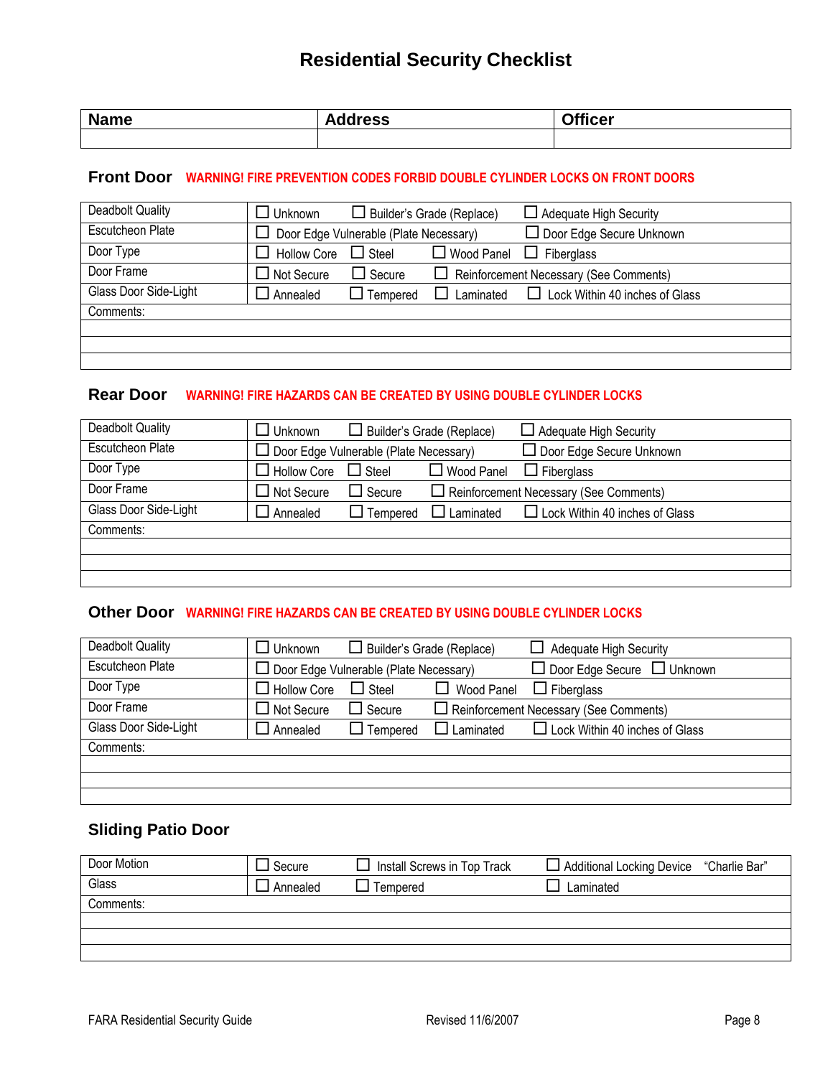### **Residential Security Checklist**

| <b>Name</b><br>___ | -<br><b>Tress</b><br>Ada. | $\sim$ $\cdots$<br>icer |
|--------------------|---------------------------|-------------------------|
|                    |                           |                         |

#### **Front Door WARNING! FIRE PREVENTION CODES FORBID DOUBLE CYLINDER LOCKS ON FRONT DOORS**

| Deadbolt Quality        | Unknown                                | $\Box$ Builder's Grade (Replace) |              | $\Box$ Adequate High Security                 |
|-------------------------|----------------------------------------|----------------------------------|--------------|-----------------------------------------------|
| <b>Escutcheon Plate</b> | Door Edge Vulnerable (Plate Necessary) |                                  |              | Door Edge Secure Unknown                      |
| Door Type               | <b>Hollow Core</b>                     | $\Box$ Steel                     | □ Wood Panel | $\Box$<br>Fiberglass                          |
| Door Frame              | $\Box$ Not Secure                      | $\Box$ Secure                    |              | $\Box$ Reinforcement Necessary (See Comments) |
| Glass Door Side-Light   | J Annealed                             | $\Box$ Tempered                  | Laminated    | $\Box$ Lock Within 40 inches of Glass         |
| Comments:               |                                        |                                  |              |                                               |
|                         |                                        |                                  |              |                                               |
|                         |                                        |                                  |              |                                               |
|                         |                                        |                                  |              |                                               |

#### **Rear Door WARNING! FIRE HAZARDS CAN BE CREATED BY USING DOUBLE CYLINDER LOCKS**

| <b>Deadbolt Quality</b> | コ Unknown            | $\Box$ Builder's Grade (Replace)              |                   | $\Box$ Adequate High Security                 |
|-------------------------|----------------------|-----------------------------------------------|-------------------|-----------------------------------------------|
| <b>Escutcheon Plate</b> |                      | $\Box$ Door Edge Vulnerable (Plate Necessary) |                   | $\Box$ Door Edge Secure Unknown               |
| Door Type               | $\Box$ Hollow Core   | $\Box$ Steel                                  | $\Box$ Wood Panel | $\Box$ Fiberglass                             |
| Door Frame              | $\square$ Not Secure | $\Box$ Secure                                 |                   | $\Box$ Reinforcement Necessary (See Comments) |
| Glass Door Side-Light   | Annealed             | $\Box$ Tempered                               | Laminated<br>ΙI   | $\Box$ Lock Within 40 inches of Glass         |
| Comments:               |                      |                                               |                   |                                               |
|                         |                      |                                               |                   |                                               |
|                         |                      |                                               |                   |                                               |
|                         |                      |                                               |                   |                                               |

#### **Other Door WARNING! FIRE HAZARDS CAN BE CREATED BY USING DOUBLE CYLINDER LOCKS**

| <b>Deadbolt Quality</b> | ∃ Unknown                                     | $\Box$ Builder's Grade (Replace) |                  | $\Box$ Adequate High Security                 |
|-------------------------|-----------------------------------------------|----------------------------------|------------------|-----------------------------------------------|
| <b>Escutcheon Plate</b> | $\Box$ Door Edge Vulnerable (Plate Necessary) |                                  |                  | $\Box$ Door Edge Secure $\Box$ Unknown        |
| Door Type               | $\Box$ Hollow Core                            | $\Box$ Steel                     | Wood Panel       | $\Box$ Fiberglass                             |
| Door Frame              | $\Box$ Not Secure                             | $\Box$ Secure                    |                  | $\Box$ Reinforcement Necessary (See Comments) |
| Glass Door Side-Light   | $\Box$ Annealed                               | $\Box$ Tempered                  | $\Box$ Laminated | $\Box$ Lock Within 40 inches of Glass         |
| Comments:               |                                               |                                  |                  |                                               |
|                         |                                               |                                  |                  |                                               |
|                         |                                               |                                  |                  |                                               |
|                         |                                               |                                  |                  |                                               |

#### **Sliding Patio Door**

| Secure                | Install Screws in Top Track | □ Additional Locking Device "Charlie Bar" |
|-----------------------|-----------------------------|-------------------------------------------|
| <sup>1</sup> Annealed | Tempered                    | Laminated                                 |
|                       |                             |                                           |
|                       |                             |                                           |
|                       |                             |                                           |
|                       |                             |                                           |
|                       |                             |                                           |